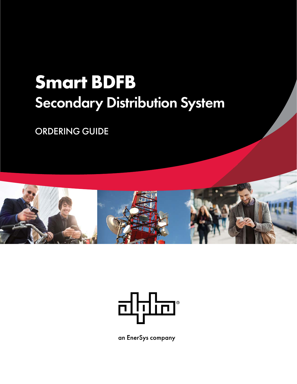# **Smart BDFB**  Secondary Distribution System

ORDERING GUIDE





an EnerSys company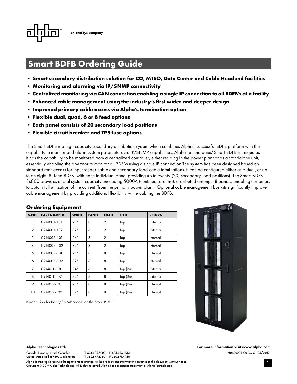# an EnerSys company

### **Smart BDFB Ordering Guide**

- **Smart secondary distribution solution for CO, MTSO, Data Center and Cable Headend facilities**
- **Monitoring and alarming via IP/SNMP connectivity**
- **Centralized monitoring via CAN connection enabling a single IP connection to all BDFB's at a facility**
- **Enhanced cable management using the industry's first wider and deeper design**
- **Improved primary cable access via Alpha's termination option**
- **Flexible dual, quad, 6 or 8 feed options**
- **Each panel consists of 20 secondary load positions**
- **Flexible circuit breaker and TPS fuse options**

The Smart BDFB is a high capacity secondary distribution system which combines Alpha's successful BDFB platform with the capability to monitor and alarm system parameters via IP/SNMP capabilities. Alpha Technologies' Smart BDFB is unique as it has the capability to be monitored from a centralized controller, either residing in the power plant or as a standalone unit, essentially enabling the operator to monitor all BDFBs using a single IP connection.The system has been designed based on standard rear access for input feeder cable and secondary load cable terminations. It can be configured either as a dual, or up to an eight (8) feed BDFB (with each individual panel providing up to twenty (20) secondary load positions). The Smart BDFB 8x800 provides a total system capacity exceeding 5000A (continuous rating), distributed amongst 8 panels, enabling customers to obtain full utilization of the current (from the primary power plant). Optional cable management bus kits significantly improve cable management by providing additional flexibility while cabling the BDFB.

|  | S.NO            | <b>PART NUMBER</b> | <b>WIDTH</b> | <b>PANEL</b> | <b>LOAD</b>    | <b>FEED</b> | <b>RETURN</b> |  |
|--|-----------------|--------------------|--------------|--------------|----------------|-------------|---------------|--|
|  | 1               | 0914001-101        | 24"          | 8            | $\overline{2}$ | Top         | External      |  |
|  | $\overline{2}$  | 0914001-102        | 32"          | 8            | $\mathbf{2}$   | Top         | External      |  |
|  | 3               | 0914003-101        | 24"          | 8            | $\overline{2}$ | Top         | Internal      |  |
|  | $\overline{4}$  | 0914003-102        | 32"          | 8            | $\overline{2}$ | Top         | Internal      |  |
|  | 5               | 0914007-101        | 24"          | 8            | 8              | Top         | Internal      |  |
|  | 6               | 0914007-102        | 32"          | 8            | 8              | Top         | Internal      |  |
|  | 7               | 0914011-101        | 24"          | 8            | 8              | Top (Bus)   | External      |  |
|  | 8               | 0914011-102        | 32"          | 8            | 8              | Top (Bus)   | External      |  |
|  | 9               | 0914012-101        | 24"          | 8            | 8              | Top (Bus)   | Internal      |  |
|  | 10 <sup>°</sup> | 0914012-102        | 32"          | 8            | 8              | Top (Bus)   | Internal      |  |

### **Ordering Equipment**

(Order - 2xx for the IP/SNMP options on the Smart BDFB)



**Alpha Technologies Ltd. For more information visit www.alpha.com**

Canada: Burnaby, British Columbia T: 604.436.5900 F: 604.436.1233<br>
United States: Bellingham, Washington T: 360.647.2360 F: 360.671.4936 United States: Bellingham, Washington Alpha Technologies reserves the right to make changes to the products and information contained in this document without notice. Copyright © 2019 Alpha Technologies. All Rights Reserved. Alpha® is a registered trademark of Alpha Technologies.